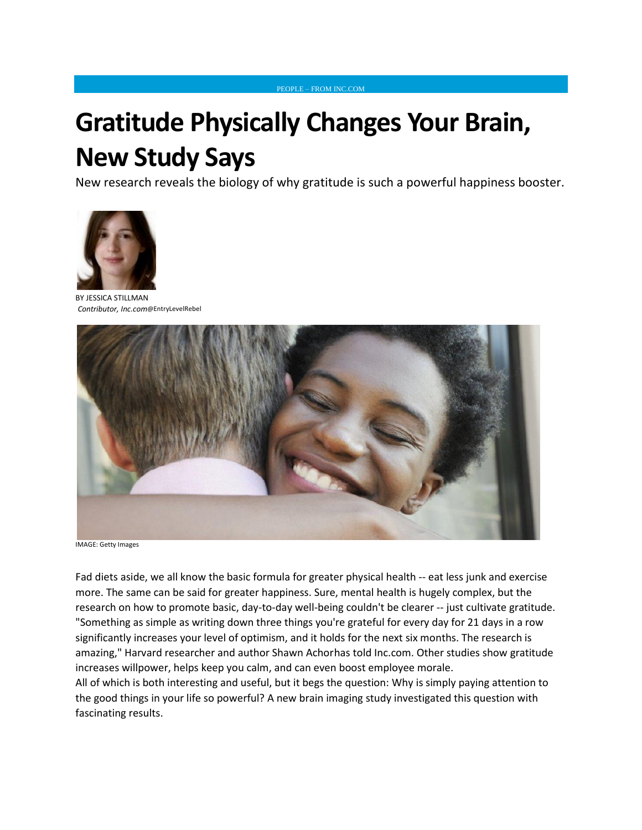## **Gratitude Physically Changes Your Brain, New Study Says**

New research reveals the biology of why gratitude is such a powerful happiness booster.

[PEOPLE](http://www.inc.com/people) – FROM INC.COM



BY JESSICA [STILLMAN](http://www.inc.com/author/jessica-stillman) *Contributor, Inc.com*@[EntryLevelRebel](http://www.twitter.com/EntryLevelRebel)



IMAGE: Getty Images

Fad diets aside, we all know the basic formula for greater physical health -- eat less junk and exercise more. The same can be said for greater happiness. Sure, mental health is hugely complex, but the research on how to promote basic, day-to-day well-being couldn't be clearer -- just [cultivate gratitude.](http://www.inc.com/jessica-stillman/4-ways-to-train-your-brain-for-positivity.html) "Something as simple as writing down three things you're grateful for every day for 21 days in a row significantly increases your level of optimism, and it holds for the next six months. The research is amazing," Harvard researcher and [author Shawn Achorh](http://www.amazon.com/gp/offer-listing/0770436730/ref=as_li_tl?ie=UTF8&camp=1789&creative=9325&creativeASIN=0770436730&linkCode=am2&tag=inccom05-20&linkId=IM3XSKFUFEZ23QYF)as [told Inc.com.](http://www.inc.com/jessica-stillman/happiness-makes-your-brain-work-better.html) Other studies show [gratitude](http://www.inc.com/jessica-stillman/the-cure-for-impatience-gratitude.html)  [increases willpower,](http://www.inc.com/jessica-stillman/the-cure-for-impatience-gratitude.html) helps [keep you calm,](http://www.inc.com/jessica-stillman/5-ways-successful-people-keep-calm.html) and can even boost [employee morale.](http://www.inc.com/jessica-stillman/have-you-built-a-thankful-company.html)

All of which is both interesting and useful, but it begs the question: Why is simply paying attention to the good things in your life so powerful? [A new brain imaging](http://www.ncbi.nlm.nih.gov/pubmed/26746580) study investigated this question with fascinating results.